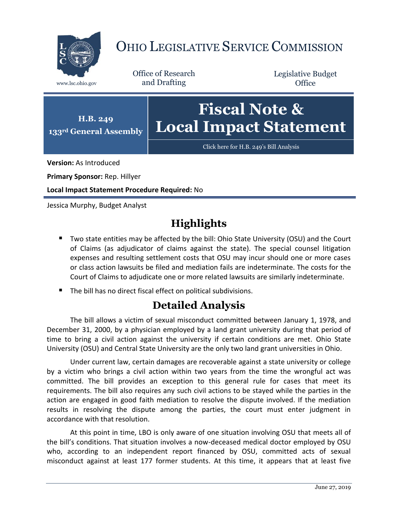

## OHIO LEGISLATIVE SERVICE COMMISSION

Office of Research www.lsc.ohio.gov and Drafting

Legislative Budget **Office** 



**Version:** As Introduced

**Primary Sponsor:** Rep. Hillyer

**Local Impact Statement Procedure Required:** No

Jessica Murphy, Budget Analyst

## **Highlights**

- Two state entities may be affected by the bill: Ohio State University (OSU) and the Court of Claims (as adjudicator of claims against the state). The special counsel litigation expenses and resulting settlement costs that OSU may incur should one or more cases or class action lawsuits be filed and mediation fails are indeterminate. The costs for the Court of Claims to adjudicate one or more related lawsuits are similarly indeterminate.
- The bill has no direct fiscal effect on political subdivisions.

## **Detailed Analysis**

The bill allows a victim of sexual misconduct committed between January 1, 1978, and December 31, 2000, by a physician employed by a land grant university during that period of time to bring a civil action against the university if certain conditions are met. Ohio State University (OSU) and Central State University are the only two land grant universities in Ohio.

Under current law, certain damages are recoverable against a state university or college by a victim who brings a civil action within two years from the time the wrongful act was committed. The bill provides an exception to this general rule for cases that meet its requirements. The bill also requires any such civil actions to be stayed while the parties in the action are engaged in good faith mediation to resolve the dispute involved. If the mediation results in resolving the dispute among the parties, the court must enter judgment in accordance with that resolution.

At this point in time, LBO is only aware of one situation involving OSU that meets all of the bill's conditions. That situation involves a now-deceased medical doctor employed by OSU who, according to an independent report financed by OSU, committed acts of sexual misconduct against at least 177 former students. At this time, it appears that at least five